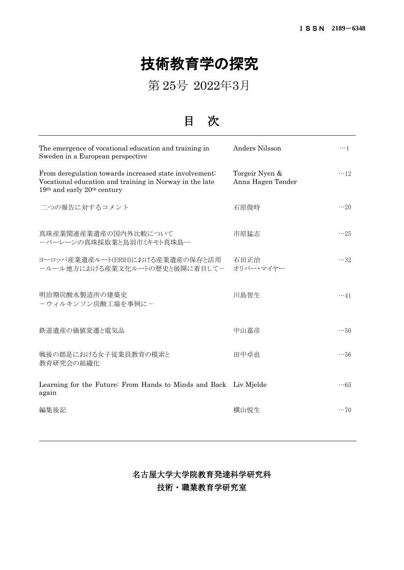## 技術教育学の探究

第 25号 2022年3月

目 次

| Anders Nilsson                      | $\cdots$ 1                                                       |
|-------------------------------------|------------------------------------------------------------------|
| Torgeir Nyen &<br>Anna Hagen Tønder | $\cdots$ 12                                                      |
| 石原俊時                                | $\cdots 20$                                                      |
| 市原猛志                                | $\cdots$ 25                                                      |
| 石田正治<br>オリバー・マイヤー                   | $\cdots$ 32                                                      |
| 川島智生                                | $\cdots$ 41                                                      |
| 中山嘉彦                                | $\cdots$ 50                                                      |
| 田中卓也                                | $\cdots$ 56                                                      |
|                                     | $\cdots 65$                                                      |
| 横山悦生                                | $\cdots$ 70                                                      |
|                                     | Learning for the Future: From Hands to Minds and Back Liv Mjelde |

名古屋大学大学院教育発達科学研究科 技術・職業教育学研究室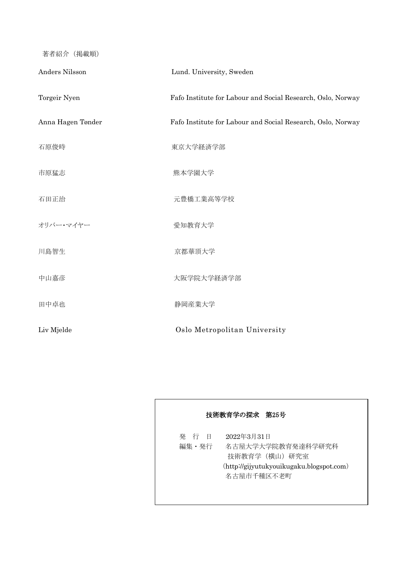著者紹介(掲載順)

| Anders Nilsson    | Lund. University, Sweden                                    |
|-------------------|-------------------------------------------------------------|
| Torgeir Nyen      | Fafo Institute for Labour and Social Research, Oslo, Norway |
| Anna Hagen Tønder | Fafo Institute for Labour and Social Research, Oslo, Norway |
| 石原俊時              | 東京大学経済学部                                                    |
| 市原猛志              | 熊本学園大学                                                      |
| 石田正治              | 元豊橋工業高等学校                                                   |
| オリバー・マイヤー         | 愛知教育大学                                                      |
| 川島智生              | 京都華頂大学                                                      |
| 中山嘉彦              | 大阪学院大学経済学部                                                  |
| 田中卓也              | 静岡産業大学                                                      |
| Liv Mjelde        | Oslo Metropolitan University                                |

## 技術教育学の探求 第25号 発 行 日 2022年3月31日 編集・発行 名古屋大学大学院教育発達科学研究科 技術教育学(横山)研究室 ([http://gijyutukyouikugaku.blogspot.com](http://gijyutukyouikugaku.blogspot.com/)) 名古屋市千種区不老町